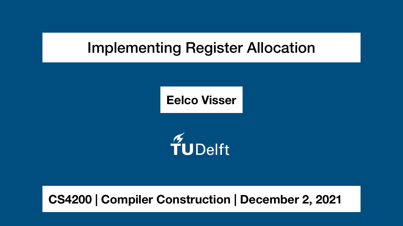# Implementing Register Allocation

# **CS4200 | Compiler Construction | December 2, 2021**

TUDelft

**Eelco Visser**

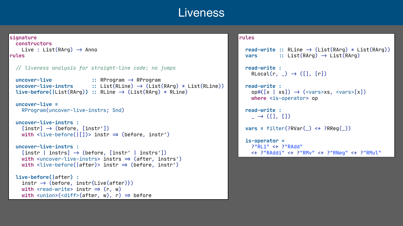### Liveness

```
signature
   constructors
    Live : List(RArg) \rightarrow Anno
rules
   / liveness analysis for straight-line code; no jumps
   uncover-live : RProgram > RProgram 
  uncover-live-ු \cdot :: List(RLine) \rightarrow (List(RArg) \star List(RLine))
   live-before(|List(RArg)) : RLine > (List(RArg) * RLine)
   uncover-live =
      RProgram(uncover-live-instrs; Snd)
   uncover-live-instrs :
     [instr] \rightarrow (before, [instr'])\text{with } \text{div} \text{e}-before(\text{[} \text{[} \text{]} \text{)} instr \Rightarrow (before, instr')
   uncover-live-instrs :
     [instr | instrs] \rightarrow (before, [instr | instrs'])with \lequncover-live-instrs> instrs \Rightarrow (after, instrs')
     width <live-before( | after)> instr \Rightarrow (before, instr')
   live-before(|after) :
     \text{instr} \rightarrow (\text{before}, \text{instr} \{\text{Live}(\text{after})\})with <read-write> instr \Rightarrow (r, w)
     width <union>(<diff>(after, w), r) \Rightarrow before
```

```
\text{read-write} :: \text{RLine} \rightarrow (\text{List(RArg)} * \text{List(RArg)})vars :: List(RArg) \rightarrow List(RArg)
 read-write :
  \text{RLocal}(r, \_) \rightarrow ([], [r]) read-write :
  op#([x \mid xs]) \rightarrow (<vars>xs, <vars>[x])
   where <is-operator> op
 read-write :
  \overline{\phantom{a}} \rightarrow ([], [])
vars = filter(?RVar() \leftarrow ?RReg()) is-operator =
  ?"RLi" <+ ?"RAdd"
   + ?"RAddi" + ?"RMv" + ?"RNeg" + ?"RMul"
```


**rules**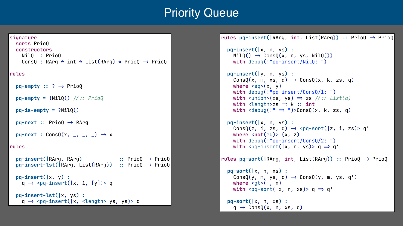```
signature
   sorts PrioQ
   constructors
     NilQ : PrioQ
    \text{ConsQ : RArg } \star \text{ int } \star \text{ List(RArg) } \star \text{ PrioQ } \rightarrow \text{ PrioQ}rules 
  pq-empty :: ? \rightarrow PrioQ
   pq-empty = !NilQ() / : PrioQ
  pq-is-empty = ?NilQ()pq-next :: PrioQ \rightarrow RArgpq-next : ConsQ(x, _, _, _) \rightarrow x
rules
   pq-insert(|RArg, RArg) : PrioQ > PrioQ
   pq-insert-lst(|RArg, List(RArg)) : PrioQ > PrioQ
   pq-insert(|x, y) :
    q \rightarrow <pq-insert(|x, 1, [y])> q
   pq-insert-lst(|x, ys) :
    q \rightarrow <pq-insert(|x, <length> ys, ys)> q
```
# Priority Queue

```
rules pq-insert(|RArg, int, List(RArg)) : PrioQ > PrioQ
   pq-insert(|x, n, ys) :
    NilQ() \rightarrow ConsQ(x, n, ys, NilQ()) with debug(!"pq-insert/NilQ: ")
   pq-insert(|y, n, ys) :
    \text{Cons}(\{x, m, xs, q) \rightarrow \text{Cons}(\{x, k, zs, q\})where \langle eq \rangle(x, y) with debug(!"pq-insert/ConsQ/1: ")
    with \simunion>(xs, ys) \Rightarrow zs //:: List(a)
    width <length>zs \Rightarrow k :: int
    width <debug(!" \Rightarrow ")>ConsQ(x, k, zs, q)
   pq-insert(|x, n, ys) :
    ConsQ(z, i, zs, q) \rightarrow spq-sort( |z, i, zs) > q'where <not(eq)> (x, z) with debug(!"pq-insert/ConsQ/2: ")
    with \langle pq\text{-insert}(|x, n, ys)\rangle q \Rightarrow q'rules pq-sort(|RArg, int, List(RArg)) : PrioQ > PrioQ
   pq-sort(|x, n, xs) :
    \text{ConsQ}(y, m, ys, q) \rightarrow \text{ConsQ}(y, m, ys, q')where <gt>(m, n)width <pq-sort(|x, n, xs)> q \Rightarrow q'
   pq-sort(|x, n, xs) :
     q \rightarrow ConsQ(x, n, xs, q)
```
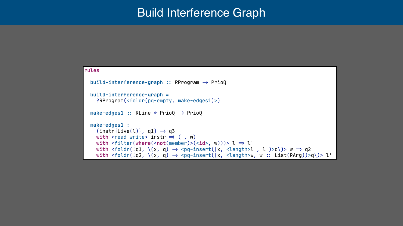## Build Interference Graph

### **rules** **build-interference-graph :** RProgram > PrioQ **build-interference-graph =** ?RProgram(<foldr(pq-empty, make-edges1)>) **make-edges1 :** RLine \* PrioQ > PrioQ **make-edges1 :**  $(intstr{Live(1)}, q1) \rightarrow q3$ with <read-write> instr  $\Rightarrow$  (\_, w) *with* <filter(where(<not(member)>(<id>, w)))> l  $\Rightarrow$  l'

```
with <foldr(!q1, \{(x, q) \rightarrow <pq-insert(\{x, <length>l', l')>q\)> w \Rightarrow q2
with <foldr(!q2, \{(x, q) \rightarrow <pq-insert(\{x, <length>w, w :: List(RArg))>q\)> l'
```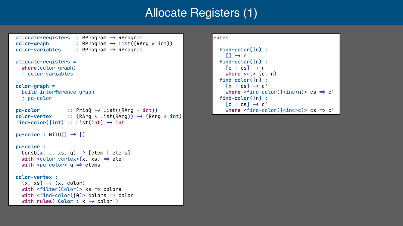# Allocate Registers (1)

```
 allocate-registers : RProgram > RProgram
\text{color-graph} :: RProgram \rightarrow List((RArg \star int))
 color-variables : RProgram > RProgram
 allocate-registers =
   where(color-graph) 
   ; color-variables
 color-graph =
   build-interference-graph
   ; pq-color
pq-color :: PrioQ \rightarrow List((RArg * int))\text{color-vertex} :: (RArg * List(RArg)) \rightarrow (RArg * int)
\text{find-color}(\text{int}) :: \text{List(int)} \rightarrow \text{int}pq-color : NilQ() \rightarrow [] pq-color :
  \text{ConsQ}(x, \underline{\hspace{1cm}}, \overline{x}s, \overline{q}) \rightarrow [\text{elem} \mid \text{elements}]width <color-vertex>(x, xs) \Rightarrow elem
  with \leq \uprhoq-color> \uprho \Rightarrow elems
 color-vertex :
   (x, xs) \rightarrow (x, color)width <filter(Color)> xs \Rightarrow colors
  width <find-color(|0\rangle)> colors \Rightarrow color
  width rules( Color : x \rightarrow color )
```

```
rules
   find-color(|n) :
     [] \rightarrow n find-color(|n) :
     [c \mid cs] \rightarrow n where <gt> (c, n)
   find-color(|n) :
     [n \mid cs] \rightarrow c'where \le find-color(|\leinc>n)> cs \Rightarrow c'
   find-color(|n) :
     [c \mid cs] \rightarrow c'where \tanh-color(|\textrm{since}>c)> cs \Rightarrow c'
```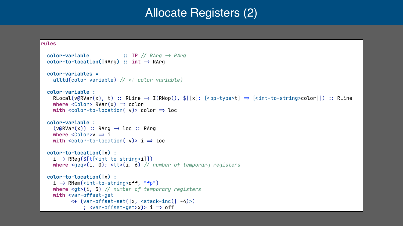## Allocate Registers (2)

#### $RLocal(v@RVar(x), t) :: RLine \rightarrow I(RNop(), $[[x]: [$

```
 color-variable : TP / RArg > RArg
\text{color-to-location}(\text{RArg}) :: \text{int} \rightarrow \text{RArg} color-variables =
   alltd(color-variable) / + color-variable)
 color-variable :
  where \langle Color \rangle RVar(x) \Rightarrow colorwidth <color-to-location(|v\rangle> color \Rightarrow loc
 color-variable :
  (v@RVar(x)) :: RArg \rightarrow loc :: RArgwhere \langle\text{Color}>\mathsf{v}\Rightarrow\mathsf{i}\ranglewidth <color-to-location(|v\rangle> i \Rightarrow loc
 color-to-location(|x) :
  i \rightarrow \text{RReg}(\$[t[\texttt{<int-to-string> i}]] where <geq>(i, 0); <lt>(i, 6) / number of temporary registers
 color-to-location(|x) : 
  \texttt{i} \rightarrow \texttt{RMem}(\texttt{cint-to-string\texttt{>off}}, \texttt{``fp''}) where <gt>(i, 5) / number of temporary registers
  with <var-offset-get
           + (var-offset-set(|x, <stack-inc(| -4)>)
                ; <var-offset-get>x)> i \Rightarrow off
```
#### **rules**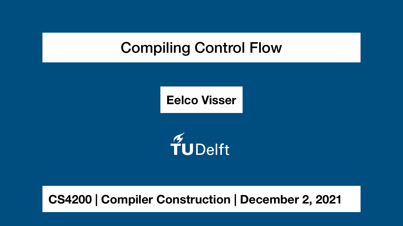# Compiling Control Flow





# **CS4200 | Compiler Construction | December 2, 2021**

### **Eelco Visser**

# TUDelft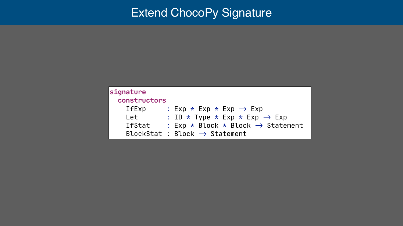## Extend ChocoPy Signature

| signature        |           |                                |  |  |  |  |
|------------------|-----------|--------------------------------|--|--|--|--|
| constructors     |           |                                |  |  |  |  |
| <b>IfExp</b>     |           | Exp                            |  |  |  |  |
| Let              |           | ID<br>$\overline{\phantom{a}}$ |  |  |  |  |
| <b>IfStat</b>    |           | Exp                            |  |  |  |  |
| <b>BlockStat</b> | $\bullet$ | Bloc                           |  |  |  |  |

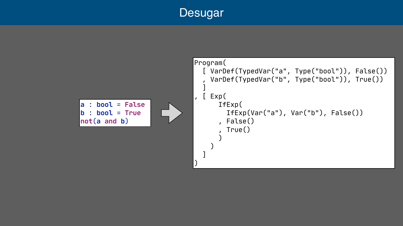

#### **a** : **bool** = **False b** : **bool** = **True not**(**a and b**)

```
Program(
   [ VarDef(TypedVar("a", Type("bool")), False())
     , VarDef(TypedVar("b", Type("bool")), True())
\blacksquare, [ Exp(
        IfExp(
           IfExp(Var("a"), Var("b"), False())
        , False()
          , True()
\overline{\phantom{a}} )
\blacksquare)
```
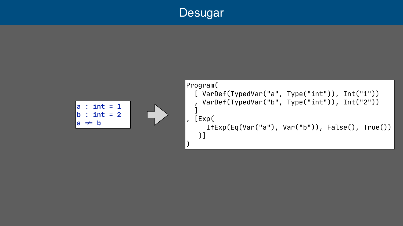

|  | $ a$ : int = 1                |  |  |
|--|-------------------------------|--|--|
|  | $\mathsf{lb}: \mathsf{int}=2$ |  |  |
|  | $\mathsf{Ia} \neq \mathsf{b}$ |  |  |

```
Program(
   [ VarDef(TypedVar("a", Type("int")), Int("1"))
     , VarDef(TypedVar("b", Type("int")), Int("2"))
 ]
, [Exp(
      IfExp(Eq(Var("a"), Var("b")), False(), True())
    )]
)
```
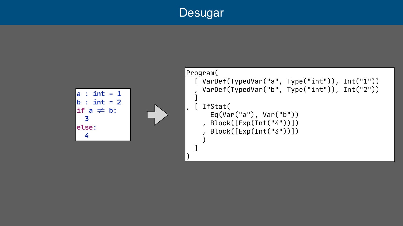

```
Program(
   [ VarDef(TypedVar("a", Type("int")), Int("1"))
     , VarDef(TypedVar("b", Type("int")), Int("2"))
 ]
, [ IfStat(
       Eq(Var("a"), Var("b"))
     , Block([Exp(Int("4"))])
       , Block([Exp(Int("3"))])
 )
 ]
```


)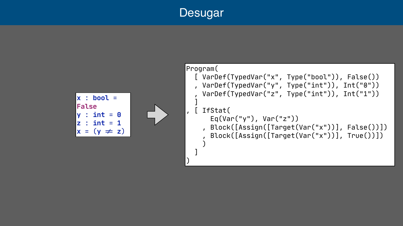#### **x** : **bool** = **False y** : **int** = **0 z** : **int** = **1**  $x = (y \neq z)$

```
Program(
   [ VarDef(TypedVar("x", Type("bool")), False())
   , VarDef(TypedVar("y", Type("int")), Int("0"))
     , VarDef(TypedVar("z", Type("int")), Int("1"))
\blacksquare, [ IfStat(
       Eq(Var("y"), Var("z"))
     , Block([Assign([Target(Var("x"))], False())])
       , Block([Assign([Target(Var("x"))], True())])
 )
\blacksquare)
```
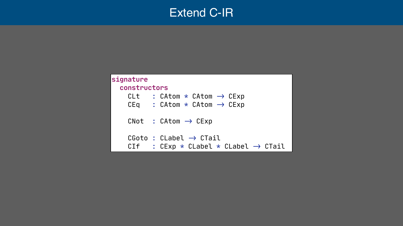- $CAtom \rightarrow CExp$  $CAtom \rightarrow CExp$
- → CExp

 $\rightarrow$  CTail CLabel  $\star$  CLabel  $\rightarrow$  CTail



| signature    |               |                 |         |
|--------------|---------------|-----------------|---------|
| constructors |               |                 |         |
| CLt          | $\mathcal{L}$ | CAtom           | $\star$ |
| CEq          |               | : CAtom *       |         |
| CNot         |               | : CAtom         |         |
|              |               | CGoto : CLabel  |         |
| CIf          |               | CEXP<br>$\star$ |         |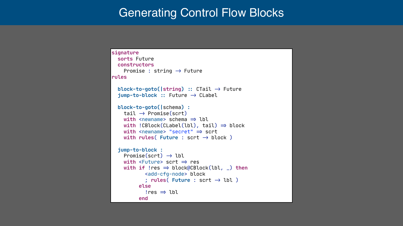# Generating Control Flow Blocks

```
signature
   sorts Future
   constructors
    Promise : string \rightarrow Future
rules
   block-to-goto(|string) : CTail > Future
   jump-to-block : Future > CLabel
   block-to-goto(|schema) : 
    tail \rightarrow Promise(scrt)
    width <newname> schema \Rightarrow lbl
    width !CBlock(CLabel(lbl), tail) \Rightarrow block
    width <newname> "secret" \Rightarrow scrt
    width rules( Future : scrt \rightarrow block )
   jump-to-block :
    Promise(sort) \rightarrow lblwidth <Future> scrt \Rightarrow res
    width if !res \Rightarrow block@CBlock(lbl, \Box) then
              <add-cfg-node> block
             \gamma rules( Future : scrt \rightarrow lbl)
            else
             !res \Rightarrow lbl end
```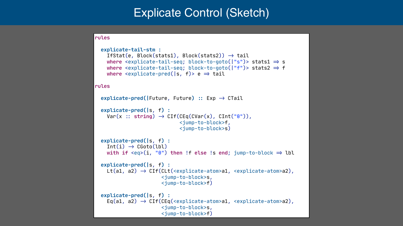# Explicate Control (Sketch)

#### **rules**

#### **rules**

```
explicate-pred(|Future, Future) :: Exp \rightarrow CTail
 explicate-pred(|s, f) :
 explicate-pred(|s, f) :
 explicate-pred(|s, f) : 
 explicate-pred(|s, f) :
```

```
 explicate-tail-stm :
  If State(e, Block(stats1), Block(stats2)) \rightarrow tailwhere \leq explicate-tail-seq; block-to-goto(\mid"s")> stats1 \Rightarrow s
  where \leq explicate-tail-seq; block-to-goto(\mid"f")> stats2 \Rightarrow f
  where \leq explicate-pred(|s, f) e \Rightarrow tail
  Var(x :: string) \rightarrow CIF(CEq(CVar(x), CInt("0"))),
                                 <jump-to-block>f,
                                 <jump-to-block>s)
  Int(i) \rightarrow CGoto(lbl)with if \text{ceq}>(i, "0") then !f else !s end; \text{jump-to-block} \Rightarrow \text{lbl}Lt(a1, a2) \rightarrow CIf(CLt(<explicate-atom>a1, <explicate-atom>a2),
                          <jump-to-block>s,
                          <jump-to-block>f)
  Eq(a1, a2) \rightarrow CIf(CEq(<i>explicate-atom>a1</i>, <i>explicate-atomic-atom>a2</i>), <jump-to-block>s,
                          <jump-to-block>f)
```